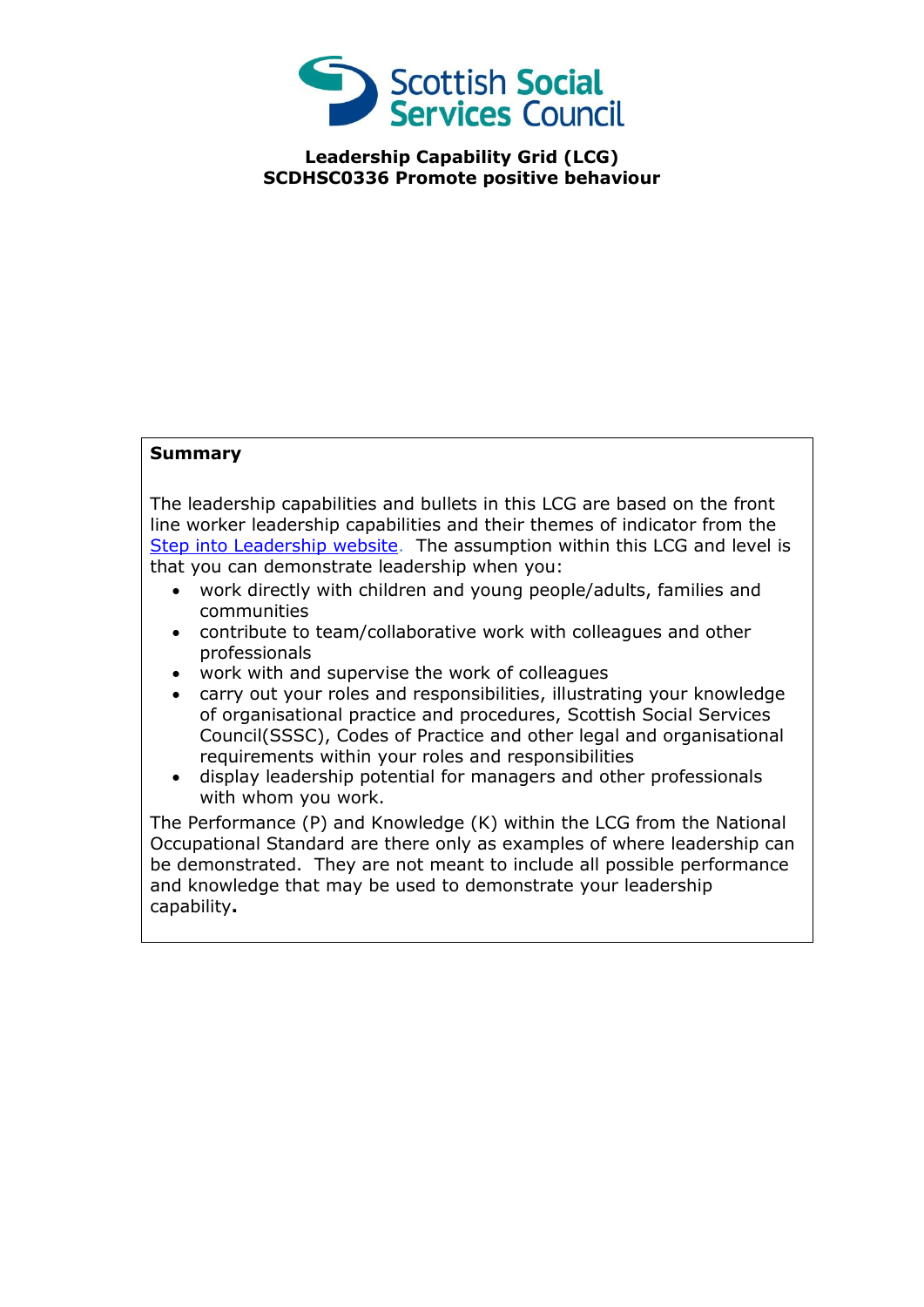

**Leadership Capability Grid (LCG) SCDHSC0336 Promote positive behaviour**

## **Summary**

The leadership capabilities and bullets in this LCG are based on the front line worker leadership capabilities and their themes of indicator from the [Step into Leadership website.](http://www.stepintoleadership.info/) The assumption within this LCG and level is that you can demonstrate leadership when you:

- work directly with children and young people/adults, families and communities
- contribute to team/collaborative work with colleagues and other professionals
- work with and supervise the work of colleagues
- carry out your roles and responsibilities, illustrating your knowledge of organisational practice and procedures, Scottish Social Services Council(SSSC), Codes of Practice and other legal and organisational requirements within your roles and responsibilities
- display leadership potential for managers and other professionals with whom you work.

The Performance (P) and Knowledge (K) within the LCG from the National Occupational Standard are there only as examples of where leadership can be demonstrated. They are not meant to include all possible performance and knowledge that may be used to demonstrate your leadership capability**.**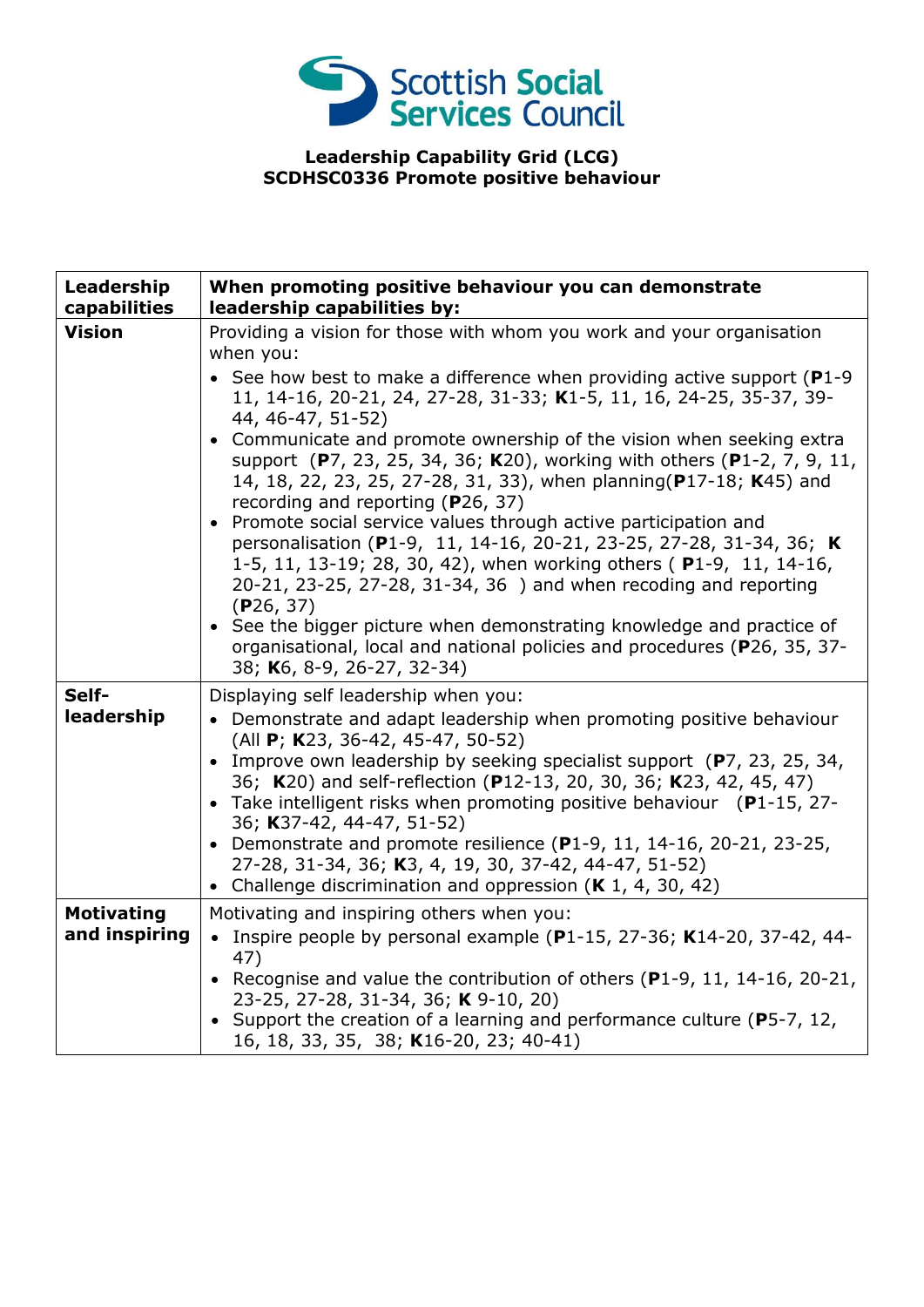

## **Leadership Capability Grid (LCG) SCDHSC0336 Promote positive behaviour**

| Leadership<br>capabilities         | When promoting positive behaviour you can demonstrate<br>leadership capabilities by:                                                                                                                                                                                                                                                                                                                                                                                                                                                                                                                                                                                                                                                                                                                                                                                                                                                                                                                                              |
|------------------------------------|-----------------------------------------------------------------------------------------------------------------------------------------------------------------------------------------------------------------------------------------------------------------------------------------------------------------------------------------------------------------------------------------------------------------------------------------------------------------------------------------------------------------------------------------------------------------------------------------------------------------------------------------------------------------------------------------------------------------------------------------------------------------------------------------------------------------------------------------------------------------------------------------------------------------------------------------------------------------------------------------------------------------------------------|
| <b>Vision</b>                      | Providing a vision for those with whom you work and your organisation<br>when you:<br>• See how best to make a difference when providing active support (P1-9<br>11, 14-16, 20-21, 24, 27-28, 31-33; K1-5, 11, 16, 24-25, 35-37, 39-<br>44, 46-47, 51-52)<br>Communicate and promote ownership of the vision when seeking extra<br>$\bullet$<br>support (P7, 23, 25, 34, 36; K20), working with others (P1-2, 7, 9, 11,<br>14, 18, 22, 23, 25, 27-28, 31, 33), when planning(P17-18; K45) and<br>recording and reporting (P26, 37)<br>Promote social service values through active participation and<br>$\bullet$<br>personalisation (P1-9, 11, 14-16, 20-21, 23-25, 27-28, 31-34, 36; K<br>1-5, 11, 13-19; 28, 30, 42), when working others (P1-9, 11, 14-16,<br>20-21, 23-25, 27-28, 31-34, 36) and when recoding and reporting<br>(P26, 37)<br>• See the bigger picture when demonstrating knowledge and practice of<br>organisational, local and national policies and procedures (P26, 35, 37-<br>38; K6, 8-9, 26-27, 32-34) |
| Self-<br>leadership                | Displaying self leadership when you:<br>• Demonstrate and adapt leadership when promoting positive behaviour<br>(All P; K23, 36-42, 45-47, 50-52)<br>Improve own leadership by seeking specialist support (P7, 23, 25, 34,<br>36; K20) and self-reflection (P12-13, 20, 30, 36; K23, 42, 45, 47)<br>• Take intelligent risks when promoting positive behaviour (P1-15, 27-<br>36; K37-42, 44-47, 51-52)<br>• Demonstrate and promote resilience (P1-9, 11, 14-16, 20-21, 23-25,<br>27-28, 31-34, 36; K3, 4, 19, 30, 37-42, 44-47, 51-52)<br>• Challenge discrimination and oppression $(K 1, 4, 30, 42)$                                                                                                                                                                                                                                                                                                                                                                                                                          |
| <b>Motivating</b><br>and inspiring | Motivating and inspiring others when you:<br>• Inspire people by personal example (P1-15, 27-36; K14-20, 37-42, 44-<br>47)<br>• Recognise and value the contribution of others (P1-9, 11, 14-16, 20-21,<br>23-25, 27-28, 31-34, 36; K 9-10, 20)<br>• Support the creation of a learning and performance culture (P5-7, 12,<br>16, 18, 33, 35, 38; K16-20, 23; 40-41)                                                                                                                                                                                                                                                                                                                                                                                                                                                                                                                                                                                                                                                              |